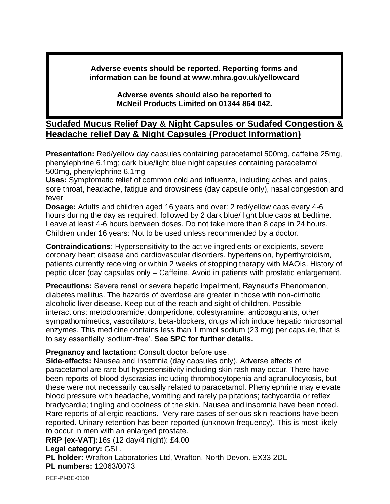**Adverse events should be reported. Reporting forms and information can be found at www.mhra.gov.uk/yellowcard**

> **Adverse events should also be reported to McNeil Products Limited on 01344 864 042.**

## **Sudafed Mucus Relief Day & Night Capsules or Sudafed Congestion & Headache relief Day & Night Capsules (Product Information)**

**Presentation:** Red/yellow day capsules containing paracetamol 500mg, caffeine 25mg, phenylephrine 6.1mg; dark blue/light blue night capsules containing paracetamol 500mg, phenylephrine 6.1mg

**Uses:** Symptomatic relief of common cold and influenza, including aches and pains, sore throat, headache, fatigue and drowsiness (day capsule only), nasal congestion and fever

**Dosage:** Adults and children aged 16 years and over: 2 red/yellow caps every 4-6 hours during the day as required, followed by 2 dark blue/ light blue caps at bedtime. Leave at least 4-6 hours between doses. Do not take more than 8 caps in 24 hours. Children under 16 years: Not to be used unless recommended by a doctor.

**Contraindications**: Hypersensitivity to the active ingredients or excipients, severe coronary heart disease and cardiovascular disorders, hypertension, hyperthyroidism, patients currently receiving or within 2 weeks of stopping therapy with MAOIs. History of peptic ulcer (day capsules only – Caffeine. Avoid in patients with prostatic enlargement.

**Precautions:** Severe renal or severe hepatic impairment, Raynaud's Phenomenon, diabetes mellitus. The hazards of overdose are greater in those with non-cirrhotic alcoholic liver disease. Keep out of the reach and sight of children. Possible interactions: metoclopramide, domperidone, colestyramine, anticoagulants, other sympathomimetics, vasodilators, beta-blockers, drugs which induce hepatic microsomal enzymes. This medicine contains less than 1 mmol sodium (23 mg) per capsule, that is to say essentially 'sodium-free'. **See SPC for further details.**

**Pregnancy and lactation:** Consult doctor before use.

**Side-effects:** Nausea and insomnia (day capsules only). Adverse effects of paracetamol are rare but hypersensitivity including skin rash may occur. There have been reports of blood dyscrasias including thrombocytopenia and agranulocytosis, but these were not necessarily causally related to paracetamol. Phenylephrine may elevate blood pressure with headache, vomiting and rarely palpitations; tachycardia or reflex bradycardia; tingling and coolness of the skin. Nausea and insomnia have been noted. Rare reports of allergic reactions. Very rare cases of serious skin reactions have been reported. Urinary retention has been reported (unknown frequency). This is most likely to occur in men with an enlarged prostate.

**RRP (ex-VAT):**16s (12 day/4 night): £4.00

## **Legal category:** GSL.

**PL holder:** Wrafton Laboratories Ltd, Wrafton, North Devon. EX33 2DL **PL numbers:** 12063/0073